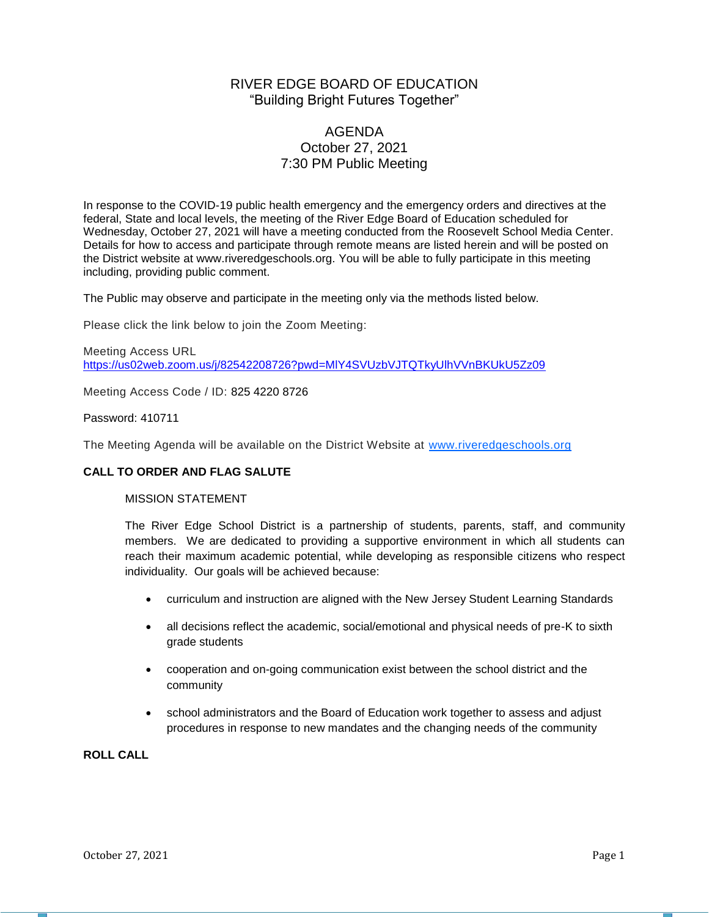# RIVER EDGE BOARD OF EDUCATION "Building Bright Futures Together"

# AGENDA October 27, 2021 7:30 PM Public Meeting

In response to the COVID-19 public health emergency and the emergency orders and directives at the federal, State and local levels, the meeting of the River Edge Board of Education scheduled for Wednesday, October 27, 2021 will have a meeting conducted from the Roosevelt School Media Center. Details for how to access and participate through remote means are listed herein and will be posted on the District website at www.riveredgeschools.org. You will be able to fully participate in this meeting including, providing public comment.

The Public may observe and participate in the meeting only via the methods listed below.

Please click the link below to join the Zoom Meeting:

Meeting Access URL <https://us02web.zoom.us/j/82542208726?pwd=MlY4SVUzbVJTQTkyUlhVVnBKUkU5Zz09>

Meeting Access Code / ID: 825 4220 8726

Password: 410711

The Meeting Agenda will be available on the District Website at www[.riveredgeschools.org](http://riveredgeschools.org/)

### **CALL TO ORDER AND FLAG SALUTE**

### MISSION STATEMENT

The River Edge School District is a partnership of students, parents, staff, and community members. We are dedicated to providing a supportive environment in which all students can reach their maximum academic potential, while developing as responsible citizens who respect individuality. Our goals will be achieved because:

- curriculum and instruction are aligned with the New Jersey Student Learning Standards
- all decisions reflect the academic, social/emotional and physical needs of pre-K to sixth grade students
- cooperation and on-going communication exist between the school district and the community
- school administrators and the Board of Education work together to assess and adjust procedures in response to new mandates and the changing needs of the community

**ROLL CALL**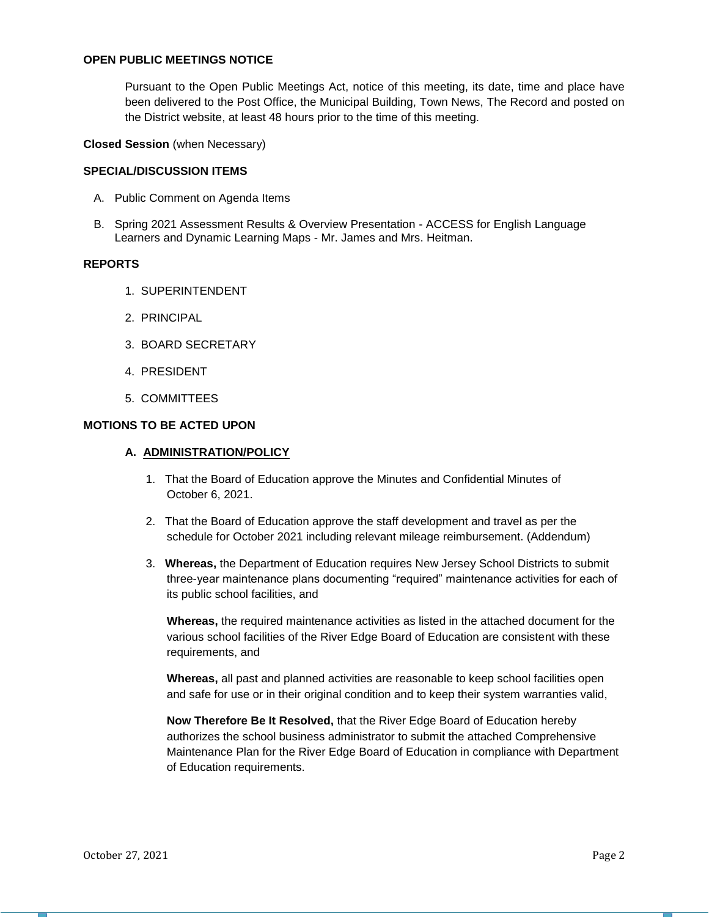### **OPEN PUBLIC MEETINGS NOTICE**

Pursuant to the Open Public Meetings Act, notice of this meeting, its date, time and place have been delivered to the Post Office, the Municipal Building, Town News, The Record and posted on the District website, at least 48 hours prior to the time of this meeting.

#### **Closed Session** (when Necessary)

#### **SPECIAL/DISCUSSION ITEMS**

- A. Public Comment on Agenda Items
- B. Spring 2021 Assessment Results & Overview Presentation ACCESS for English Language Learners and Dynamic Learning Maps - Mr. James and Mrs. Heitman.

#### **REPORTS**

- 1. SUPERINTENDENT
- 2. PRINCIPAL
- 3. BOARD SECRETARY
- 4. PRESIDENT
- 5. COMMITTEES

#### **MOTIONS TO BE ACTED UPON**

#### **A. ADMINISTRATION/POLICY**

- 1. That the Board of Education approve the Minutes and Confidential Minutes of October 6, 2021.
- 2. That the Board of Education approve the staff development and travel as per the schedule for October 2021 including relevant mileage reimbursement. (Addendum)
- 3. **Whereas,** the Department of Education requires New Jersey School Districts to submit three-year maintenance plans documenting "required" maintenance activities for each of its public school facilities, and

**Whereas,** the required maintenance activities as listed in the attached document for the various school facilities of the River Edge Board of Education are consistent with these requirements, and

**Whereas,** all past and planned activities are reasonable to keep school facilities open and safe for use or in their original condition and to keep their system warranties valid,

**Now Therefore Be It Resolved,** that the River Edge Board of Education hereby authorizes the school business administrator to submit the attached Comprehensive Maintenance Plan for the River Edge Board of Education in compliance with Department of Education requirements.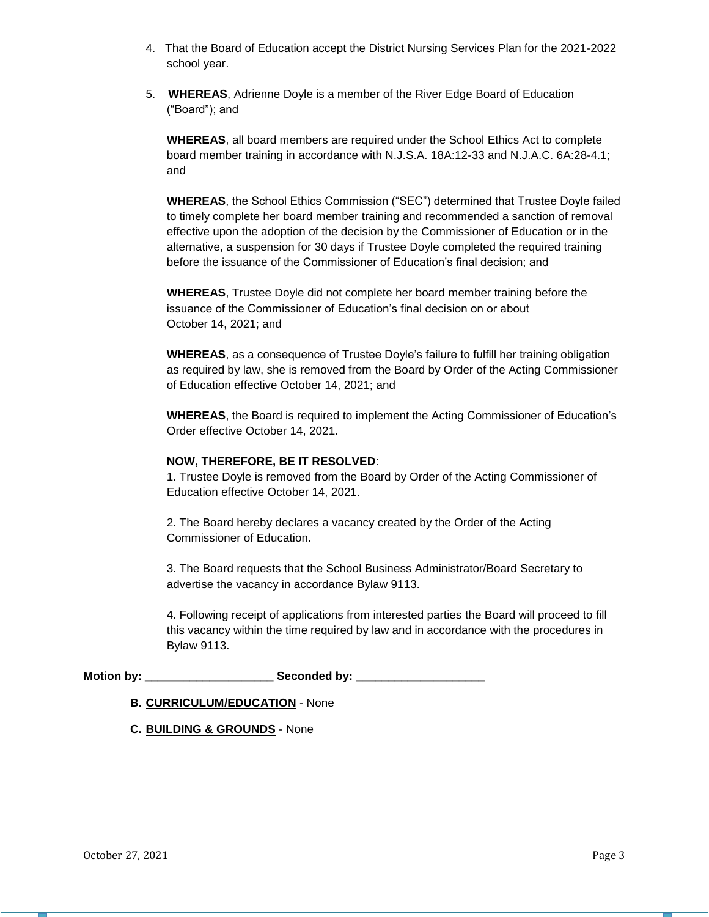- 4. That the Board of Education accept the District Nursing Services Plan for the 2021-2022 school year.
- 5. **WHEREAS**, Adrienne Doyle is a member of the River Edge Board of Education ("Board"); and

**WHEREAS**, all board members are required under the School Ethics Act to complete board member training in accordance with N.J.S.A. 18A:12-33 and N.J.A.C. 6A:28-4.1; and

**WHEREAS**, the School Ethics Commission ("SEC") determined that Trustee Doyle failed to timely complete her board member training and recommended a sanction of removal effective upon the adoption of the decision by the Commissioner of Education or in the alternative, a suspension for 30 days if Trustee Doyle completed the required training before the issuance of the Commissioner of Education's final decision; and

**WHEREAS**, Trustee Doyle did not complete her board member training before the issuance of the Commissioner of Education's final decision on or about October 14, 2021; and

**WHEREAS**, as a consequence of Trustee Doyle's failure to fulfill her training obligation as required by law, she is removed from the Board by Order of the Acting Commissioner of Education effective October 14, 2021; and

**WHEREAS**, the Board is required to implement the Acting Commissioner of Education's Order effective October 14, 2021.

#### **NOW, THEREFORE, BE IT RESOLVED**:

1. Trustee Doyle is removed from the Board by Order of the Acting Commissioner of Education effective October 14, 2021.

2. The Board hereby declares a vacancy created by the Order of the Acting Commissioner of Education.

3. The Board requests that the School Business Administrator/Board Secretary to advertise the vacancy in accordance Bylaw 9113.

4. Following receipt of applications from interested parties the Board will proceed to fill this vacancy within the time required by law and in accordance with the procedures in Bylaw 9113.

**Motion by: \_\_\_\_\_\_\_\_\_\_\_\_\_\_\_\_\_\_\_\_ Seconded by: \_\_\_\_\_\_\_\_\_\_\_\_\_\_\_\_\_\_\_\_**

### **B. CURRICULUM/EDUCATION** - None

**C. BUILDING & GROUNDS** - None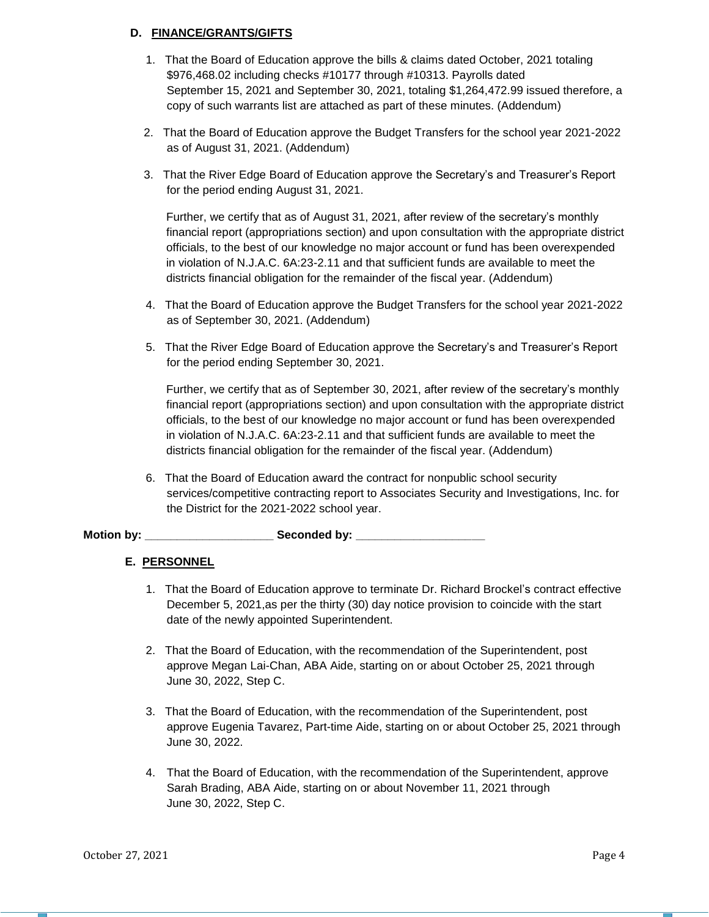## **D. FINANCE/GRANTS/GIFTS**

- 1. That the Board of Education approve the bills & claims dated October, 2021 totaling \$976,468.02 including checks #10177 through #10313. Payrolls dated September 15, 2021 and September 30, 2021, totaling \$1,264,472.99 issued therefore, a copy of such warrants list are attached as part of these minutes. (Addendum)
- 2. That the Board of Education approve the Budget Transfers for the school year 2021-2022 as of August 31, 2021. (Addendum)
- 3. That the River Edge Board of Education approve the Secretary's and Treasurer's Report for the period ending August 31, 2021.

Further, we certify that as of August 31, 2021, after review of the secretary's monthly financial report (appropriations section) and upon consultation with the appropriate district officials, to the best of our knowledge no major account or fund has been overexpended in violation of N.J.A.C. 6A:23-2.11 and that sufficient funds are available to meet the districts financial obligation for the remainder of the fiscal year. (Addendum)

- 4. That the Board of Education approve the Budget Transfers for the school year 2021-2022 as of September 30, 2021. (Addendum)
- 5. That the River Edge Board of Education approve the Secretary's and Treasurer's Report for the period ending September 30, 2021.

Further, we certify that as of September 30, 2021, after review of the secretary's monthly financial report (appropriations section) and upon consultation with the appropriate district officials, to the best of our knowledge no major account or fund has been overexpended in violation of N.J.A.C. 6A:23-2.11 and that sufficient funds are available to meet the districts financial obligation for the remainder of the fiscal year. (Addendum)

6. That the Board of Education award the contract for nonpublic school security services/competitive contracting report to Associates Security and Investigations, Inc. for the District for the 2021-2022 school year.

Motion by: **We are all Seconded by:**  $\bullet$  Seconded by:

## **E. PERSONNEL**

- 1. That the Board of Education approve to terminate Dr. Richard Brockel's contract effective December 5, 2021,as per the thirty (30) day notice provision to coincide with the start date of the newly appointed Superintendent.
- 2. That the Board of Education, with the recommendation of the Superintendent, post approve Megan Lai-Chan, ABA Aide, starting on or about October 25, 2021 through June 30, 2022, Step C.
- 3. That the Board of Education, with the recommendation of the Superintendent, post approve Eugenia Tavarez, Part-time Aide, starting on or about October 25, 2021 through June 30, 2022.
- 4. That the Board of Education, with the recommendation of the Superintendent, approve Sarah Brading, ABA Aide, starting on or about November 11, 2021 through June 30, 2022, Step C.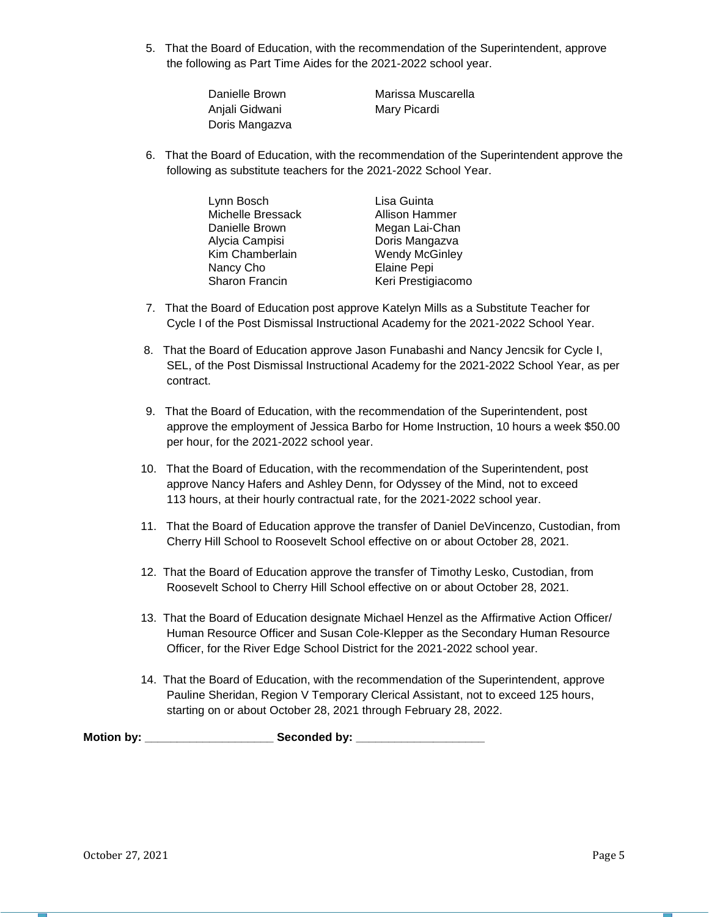5. That the Board of Education, with the recommendation of the Superintendent, approve the following as Part Time Aides for the 2021-2022 school year.

| Danielle Brown | Marissa Muscarella |
|----------------|--------------------|
| Anjali Gidwani | Mary Picardi       |
| Doris Mangazva |                    |

6. That the Board of Education, with the recommendation of the Superintendent approve the following as substitute teachers for the 2021-2022 School Year.

| Lynn Bosch        | Lisa Guinta           |
|-------------------|-----------------------|
| Michelle Bressack | Allison Hammer        |
| Danielle Brown    | Megan Lai-Chan        |
| Alycia Campisi    | Doris Mangazva        |
| Kim Chamberlain   | <b>Wendy McGinley</b> |
| Nancy Cho         | Elaine Pepi           |
| Sharon Francin    | Keri Prestigiacomo    |

- 7. That the Board of Education post approve Katelyn Mills as a Substitute Teacher for Cycle I of the Post Dismissal Instructional Academy for the 2021-2022 School Year.
- 8. That the Board of Education approve Jason Funabashi and Nancy Jencsik for Cycle I, SEL, of the Post Dismissal Instructional Academy for the 2021-2022 School Year, as per contract.
- 9. That the Board of Education, with the recommendation of the Superintendent, post approve the employment of Jessica Barbo for Home Instruction, 10 hours a week \$50.00 per hour, for the 2021-2022 school year.
- 10. That the Board of Education, with the recommendation of the Superintendent, post approve Nancy Hafers and Ashley Denn, for Odyssey of the Mind, not to exceed 113 hours, at their hourly contractual rate, for the 2021-2022 school year.
- 11. That the Board of Education approve the transfer of Daniel DeVincenzo, Custodian, from Cherry Hill School to Roosevelt School effective on or about October 28, 2021.
- 12. That the Board of Education approve the transfer of Timothy Lesko, Custodian, from Roosevelt School to Cherry Hill School effective on or about October 28, 2021.
- 13. That the Board of Education designate Michael Henzel as the Affirmative Action Officer/ Human Resource Officer and Susan Cole-Klepper as the Secondary Human Resource Officer, for the River Edge School District for the 2021-2022 school year.
- 14. That the Board of Education, with the recommendation of the Superintendent, approve Pauline Sheridan, Region V Temporary Clerical Assistant, not to exceed 125 hours, starting on or about October 28, 2021 through February 28, 2022.

**Motion by: \_\_\_\_\_\_\_\_\_\_\_\_\_\_\_\_\_\_\_\_ Seconded by: \_\_\_\_\_\_\_\_\_\_\_\_\_\_\_\_\_\_\_\_**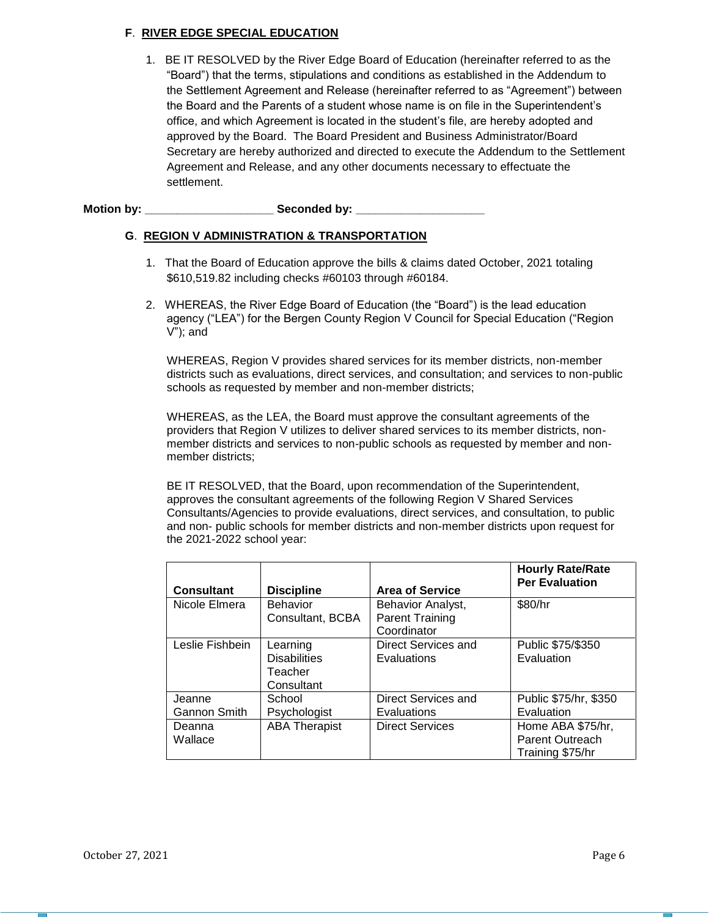## **F**. **RIVER EDGE SPECIAL EDUCATION**

1. BE IT RESOLVED by the River Edge Board of Education (hereinafter referred to as the "Board") that the terms, stipulations and conditions as established in the Addendum to the Settlement Agreement and Release (hereinafter referred to as "Agreement") between the Board and the Parents of a student whose name is on file in the Superintendent's office, and which Agreement is located in the student's file, are hereby adopted and approved by the Board. The Board President and Business Administrator/Board Secretary are hereby authorized and directed to execute the Addendum to the Settlement Agreement and Release, and any other documents necessary to effectuate the settlement.

Motion by: **We seconded by:**  $\bullet$  Seconded by:

## **G**. **REGION V ADMINISTRATION & TRANSPORTATION**

- 1. That the Board of Education approve the bills & claims dated October, 2021 totaling \$610,519.82 including checks #60103 through #60184.
- 2. WHEREAS, the River Edge Board of Education (the "Board") is the lead education agency ("LEA") for the Bergen County Region V Council for Special Education ("Region V"); and

WHEREAS, Region V provides shared services for its member districts, non-member districts such as evaluations, direct services, and consultation; and services to non-public schools as requested by member and non-member districts;

WHEREAS, as the LEA, the Board must approve the consultant agreements of the providers that Region V utilizes to deliver shared services to its member districts, nonmember districts and services to non-public schools as requested by member and nonmember districts;

BE IT RESOLVED, that the Board, upon recommendation of the Superintendent, approves the consultant agreements of the following Region V Shared Services Consultants/Agencies to provide evaluations, direct services, and consultation, to public and non- public schools for member districts and non-member districts upon request for the 2021-2022 school year:

|                     |                      |                        | <b>Hourly Rate/Rate</b><br><b>Per Evaluation</b> |
|---------------------|----------------------|------------------------|--------------------------------------------------|
| <b>Consultant</b>   | <b>Discipline</b>    | <b>Area of Service</b> |                                                  |
| Nicole Elmera       | <b>Behavior</b>      | Behavior Analyst,      | \$80/hr                                          |
|                     | Consultant, BCBA     | <b>Parent Training</b> |                                                  |
|                     |                      | Coordinator            |                                                  |
| Leslie Fishbein     | Learning             | Direct Services and    | Public \$75/\$350                                |
|                     | <b>Disabilities</b>  | Evaluations            | Evaluation                                       |
|                     | Teacher              |                        |                                                  |
|                     | Consultant           |                        |                                                  |
| Jeanne              | School               | Direct Services and    | Public \$75/hr, \$350                            |
| <b>Gannon Smith</b> | Psychologist         | Evaluations            | Evaluation                                       |
| Deanna              | <b>ABA Therapist</b> | <b>Direct Services</b> | Home ABA \$75/hr,                                |
| Wallace             |                      |                        | Parent Outreach                                  |
|                     |                      |                        | Training \$75/hr                                 |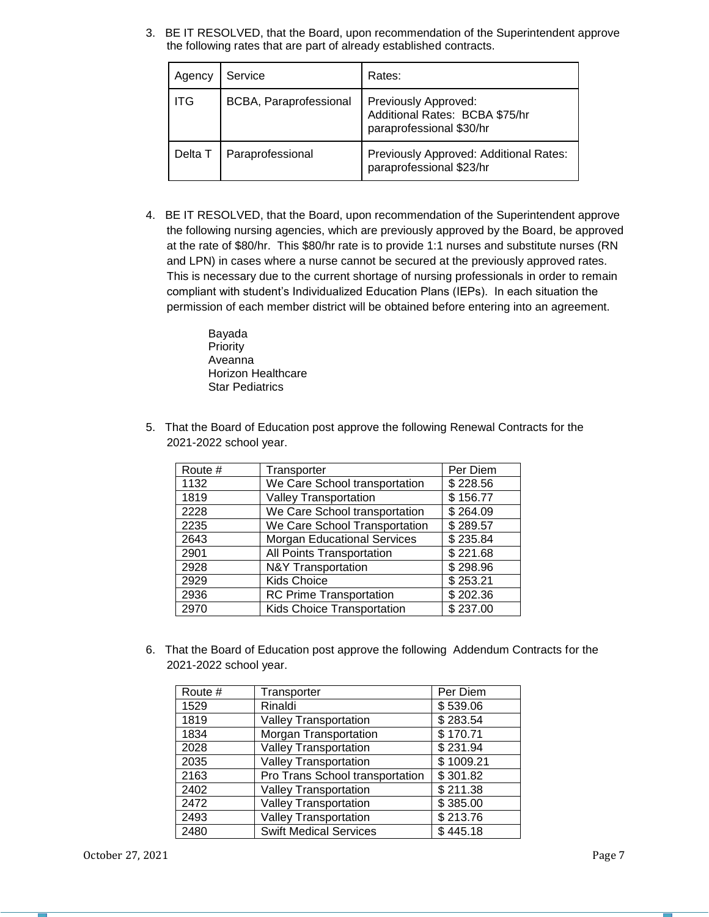3. BE IT RESOLVED, that the Board, upon recommendation of the Superintendent approve the following rates that are part of already established contracts.

| Agency  | Service                | Rates:                                                                             |
|---------|------------------------|------------------------------------------------------------------------------------|
| l ITG   | BCBA, Paraprofessional | Previously Approved:<br>Additional Rates: BCBA \$75/hr<br>paraprofessional \$30/hr |
| Delta T | Paraprofessional       | Previously Approved: Additional Rates:<br>paraprofessional \$23/hr                 |

4. BE IT RESOLVED, that the Board, upon recommendation of the Superintendent approve the following nursing agencies, which are previously approved by the Board, be approved at the rate of \$80/hr. This \$80/hr rate is to provide 1:1 nurses and substitute nurses (RN and LPN) in cases where a nurse cannot be secured at the previously approved rates. This is necessary due to the current shortage of nursing professionals in order to remain compliant with student's Individualized Education Plans (IEPs). In each situation the permission of each member district will be obtained before entering into an agreement.

> Bayada Priority Aveanna Horizon Healthcare Star Pediatrics

5. That the Board of Education post approve the following Renewal Contracts for the 2021-2022 school year.

| Route # | Transporter                        | Per Diem |
|---------|------------------------------------|----------|
| 1132    | We Care School transportation      | \$228.56 |
| 1819    | <b>Valley Transportation</b>       | \$156.77 |
| 2228    | We Care School transportation      | \$264.09 |
| 2235    | We Care School Transportation      | \$289.57 |
| 2643    | <b>Morgan Educational Services</b> | \$235.84 |
| 2901    | All Points Transportation          | \$221.68 |
| 2928    | <b>N&amp;Y Transportation</b>      | \$298.96 |
| 2929    | <b>Kids Choice</b>                 | \$253.21 |
| 2936    | <b>RC Prime Transportation</b>     | \$202.36 |
| 2970    | Kids Choice Transportation         | \$237.00 |

6. That the Board of Education post approve the following Addendum Contracts for the 2021-2022 school year.

| Route # | Transporter                     | Per Diem  |
|---------|---------------------------------|-----------|
| 1529    | Rinaldi                         | \$539.06  |
| 1819    | <b>Valley Transportation</b>    | \$283.54  |
| 1834    | Morgan Transportation           | \$170.71  |
| 2028    | <b>Valley Transportation</b>    | \$231.94  |
| 2035    | <b>Valley Transportation</b>    | \$1009.21 |
| 2163    | Pro Trans School transportation | \$301.82  |
| 2402    | <b>Valley Transportation</b>    | \$211.38  |
| 2472    | <b>Valley Transportation</b>    | \$385.00  |
| 2493    | <b>Valley Transportation</b>    | \$213.76  |
| 2480    | <b>Swift Medical Services</b>   | \$445.18  |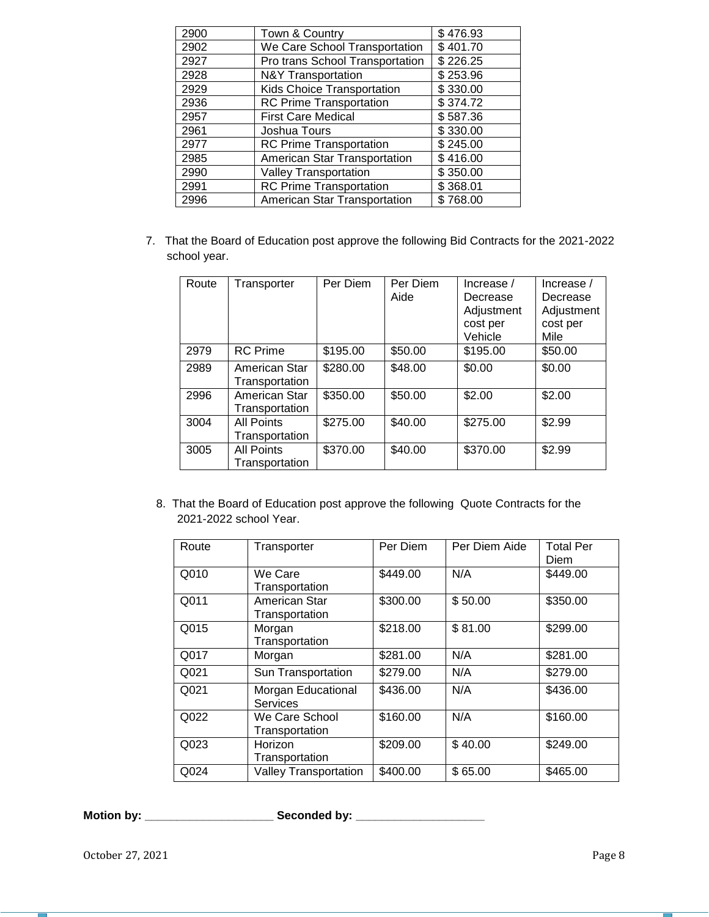| Town & Country                  | \$476.93 |
|---------------------------------|----------|
| We Care School Transportation   | \$401.70 |
| Pro trans School Transportation | \$226.25 |
| <b>N&amp;Y Transportation</b>   | \$253.96 |
| Kids Choice Transportation      | \$330.00 |
| <b>RC Prime Transportation</b>  | \$374.72 |
| <b>First Care Medical</b>       | \$587.36 |
| Joshua Tours                    | \$330.00 |
| <b>RC Prime Transportation</b>  | \$245.00 |
| American Star Transportation    | \$416.00 |
| <b>Valley Transportation</b>    | \$350.00 |
| <b>RC Prime Transportation</b>  | \$368.01 |
| American Star Transportation    | \$768.00 |
|                                 |          |

7. That the Board of Education post approve the following Bid Contracts for the 2021-2022 school year.

| Route | Transporter                         | Per Diem | Per Diem<br>Aide | Increase $/$<br>Decrease<br>Adjustment | Increase /<br>Decrease<br>Adjustment |
|-------|-------------------------------------|----------|------------------|----------------------------------------|--------------------------------------|
|       |                                     |          |                  | cost per                               | cost per                             |
|       |                                     |          |                  | Vehicle                                | Mile                                 |
| 2979  | <b>RC</b> Prime                     | \$195.00 | \$50.00          | \$195.00                               | \$50.00                              |
| 2989  | American Star<br>Transportation     | \$280.00 | \$48.00          | \$0.00                                 | \$0.00                               |
| 2996  | American Star<br>Transportation     | \$350.00 | \$50.00          | \$2.00                                 | \$2.00                               |
| 3004  | <b>All Points</b><br>Transportation | \$275.00 | \$40.00          | \$275.00                               | \$2.99                               |
| 3005  | <b>All Points</b><br>Transportation | \$370.00 | \$40.00          | \$370.00                               | \$2.99                               |

8. That the Board of Education post approve the following Quote Contracts for the 2021-2022 school Year.

| Route | Transporter                      | Per Diem | Per Diem Aide | <b>Total Per</b><br>Diem |
|-------|----------------------------------|----------|---------------|--------------------------|
| Q010  | We Care<br>Transportation        | \$449.00 | N/A           | \$449.00                 |
| Q011  | American Star<br>Transportation  | \$300.00 | \$50.00       | \$350.00                 |
| Q015  | Morgan<br>Transportation         | \$218.00 | \$81.00       | \$299.00                 |
| Q017  | Morgan                           | \$281.00 | N/A           | \$281.00                 |
| Q021  | Sun Transportation               | \$279.00 | N/A           | \$279.00                 |
| Q021  | Morgan Educational<br>Services   | \$436.00 | N/A           | \$436.00                 |
| Q022  | We Care School<br>Transportation | \$160.00 | N/A           | \$160.00                 |
| Q023  | Horizon<br>Transportation        | \$209.00 | \$40.00       | \$249.00                 |
| Q024  | <b>Valley Transportation</b>     | \$400.00 | \$65.00       | \$465.00                 |

**Motion by: \_\_\_\_\_\_\_\_\_\_\_\_\_\_\_\_\_\_\_\_ Seconded by: \_\_\_\_\_\_\_\_\_\_\_\_\_\_\_\_\_\_\_\_**

October 27, 2021 Page 8